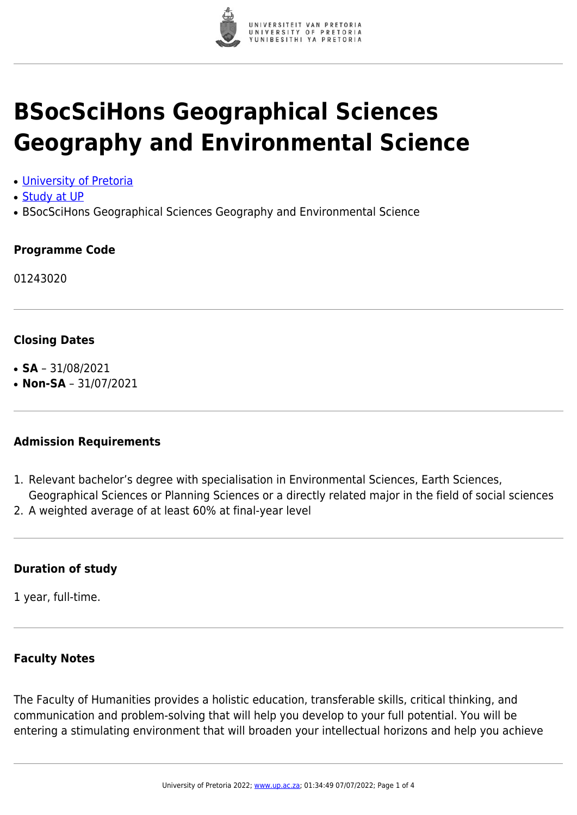

# **BSocSciHons Geographical Sciences Geography and Environmental Science**

- [University of Pretoria](https://www.up.ac.za/home)
- [Study at UP](https://www.up.ac.za/programmes)
- BSocSciHons Geographical Sciences Geography and Environmental Science

## **Programme Code**

01243020

## **Closing Dates**

- $\cdot$  **SA** 31/08/2021
- $\cdot$  **Non-SA** 31/07/2021

#### **Admission Requirements**

- 1. Relevant bachelor's degree with specialisation in Environmental Sciences, Earth Sciences, Geographical Sciences or Planning Sciences or a directly related major in the field of social sciences
- 2. A weighted average of at least 60% at final-year level

# **Duration of study**

1 year, full-time.

# **Faculty Notes**

The Faculty of Humanities provides a holistic education, transferable skills, critical thinking, and communication and problem-solving that will help you develop to your full potential. You will be entering a stimulating environment that will broaden your intellectual horizons and help you achieve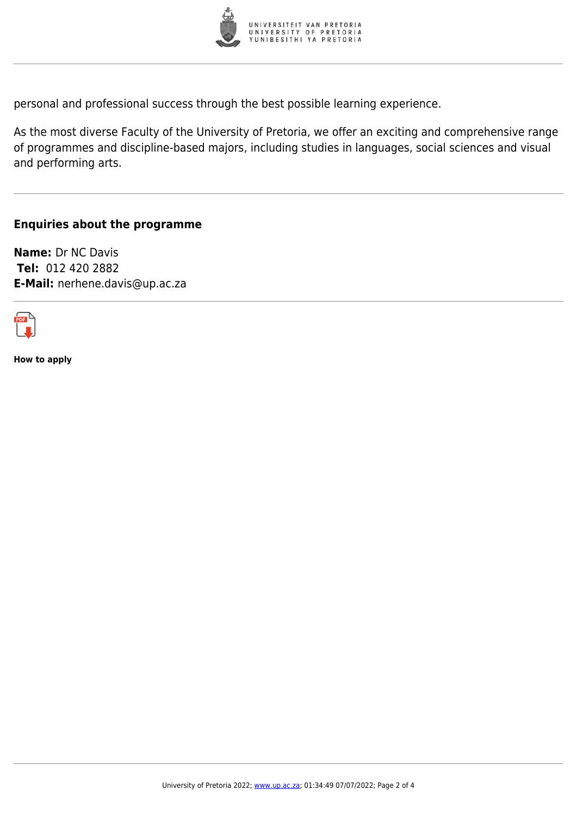

personal and professional success through the best possible learning experience.

As the most diverse Faculty of the University of Pretoria, we offer an exciting and comprehensive range of programmes and discipline-based majors, including studies in languages, social sciences and visual and performing arts.

## **Enquiries about the programme**

**Name:** Dr NC Davis **Tel:** 012 420 2882 **E-Mail:** nerhene.davis@up.ac.za



**How to apply**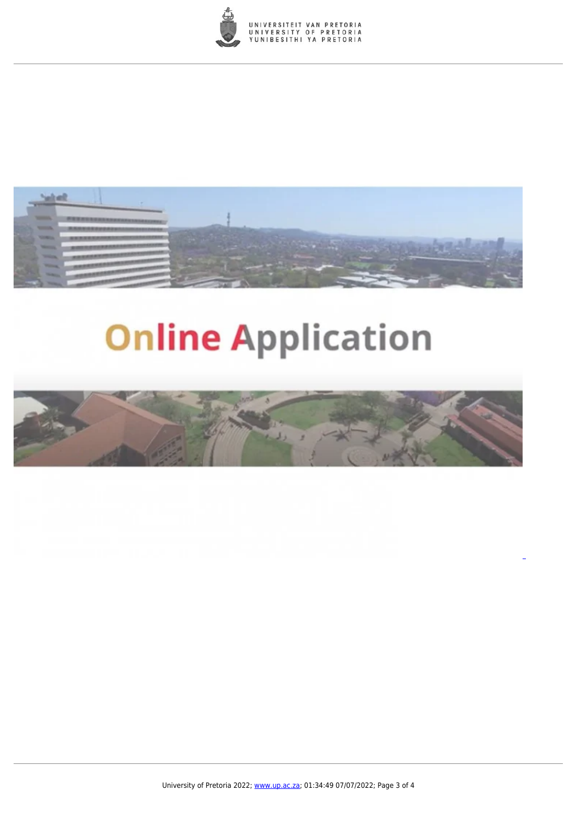



# **Online Application**